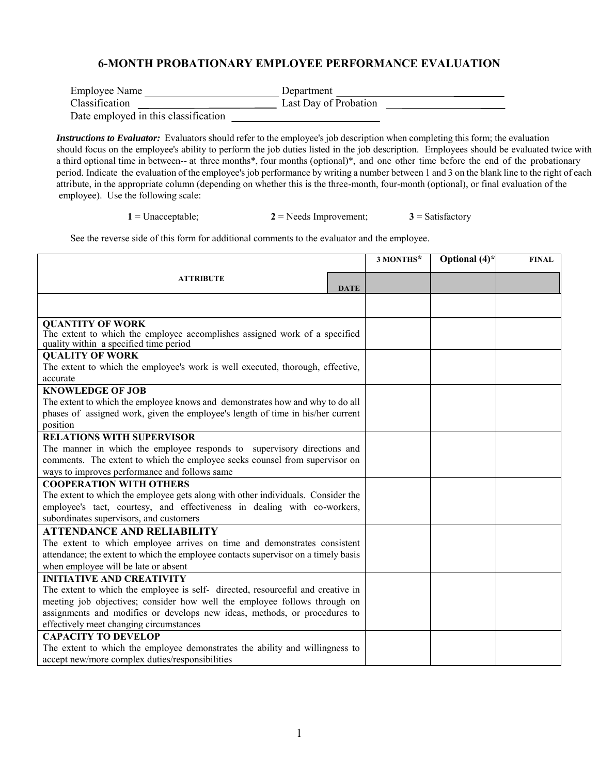## **6-MONTH PROBATIONARY EMPLOYEE PERFORMANCE EVALUATION**

| <b>Employee Name</b>                 | Department            |  |
|--------------------------------------|-----------------------|--|
| Classification                       | Last Day of Probation |  |
| Date employed in this classification |                       |  |

*Instructions to Evaluator:* Evaluators should refer to the employee's job description when completing this form; the evaluation should focus on the employee's ability to perform the job duties listed in the job description. Employees should be evaluated twice with a third optional time in between-- at three months\*, four months (optional)\*, and one other time before the end of the probationary period. Indicate the evaluation of the employee's job performance by writing a number between 1 and 3 on the blank line to the right of each attribute, in the appropriate column (depending on whether this is the three-month, four-month (optional), or final evaluation of the employee). Use the following scale:

1 = Unacceptable; **2** = Needs Improvement;  $3$  = Satisfactory

See the reverse side of this form for additional comments to the evaluator and the employee.

|                                                                                                                      |             | 3 MONTHS* | Optional $(4)^*$ | <b>FINAL</b> |
|----------------------------------------------------------------------------------------------------------------------|-------------|-----------|------------------|--------------|
|                                                                                                                      |             |           |                  |              |
| <b>ATTRIBUTE</b>                                                                                                     | <b>DATE</b> |           |                  |              |
|                                                                                                                      |             |           |                  |              |
|                                                                                                                      |             |           |                  |              |
| <b>QUANTITY OF WORK</b>                                                                                              |             |           |                  |              |
| The extent to which the employee accomplishes assigned work of a specified<br>quality within a specified time period |             |           |                  |              |
| <b>QUALITY OF WORK</b>                                                                                               |             |           |                  |              |
| The extent to which the employee's work is well executed, thorough, effective,                                       |             |           |                  |              |
| accurate                                                                                                             |             |           |                  |              |
| <b>KNOWLEDGE OF JOB</b>                                                                                              |             |           |                  |              |
| The extent to which the employee knows and demonstrates how and why to do all                                        |             |           |                  |              |
| phases of assigned work, given the employee's length of time in his/her current                                      |             |           |                  |              |
| position                                                                                                             |             |           |                  |              |
| <b>RELATIONS WITH SUPERVISOR</b>                                                                                     |             |           |                  |              |
| The manner in which the employee responds to supervisory directions and                                              |             |           |                  |              |
| comments. The extent to which the employee seeks counsel from supervisor on                                          |             |           |                  |              |
| ways to improves performance and follows same                                                                        |             |           |                  |              |
| <b>COOPERATION WITH OTHERS</b>                                                                                       |             |           |                  |              |
| The extent to which the employee gets along with other individuals. Consider the                                     |             |           |                  |              |
| employee's tact, courtesy, and effectiveness in dealing with co-workers,                                             |             |           |                  |              |
| subordinates supervisors, and customers                                                                              |             |           |                  |              |
| <b>ATTENDANCE AND RELIABILITY</b>                                                                                    |             |           |                  |              |
| The extent to which employee arrives on time and demonstrates consistent                                             |             |           |                  |              |
| attendance; the extent to which the employee contacts supervisor on a timely basis                                   |             |           |                  |              |
| when employee will be late or absent                                                                                 |             |           |                  |              |
| <b>INITIATIVE AND CREATIVITY</b>                                                                                     |             |           |                  |              |
| The extent to which the employee is self- directed, resourceful and creative in                                      |             |           |                  |              |
| meeting job objectives; consider how well the employee follows through on                                            |             |           |                  |              |
| assignments and modifies or develops new ideas, methods, or procedures to                                            |             |           |                  |              |
| effectively meet changing circumstances                                                                              |             |           |                  |              |
| <b>CAPACITY TO DEVELOP</b>                                                                                           |             |           |                  |              |
| The extent to which the employee demonstrates the ability and willingness to                                         |             |           |                  |              |
| accept new/more complex duties/responsibilities                                                                      |             |           |                  |              |